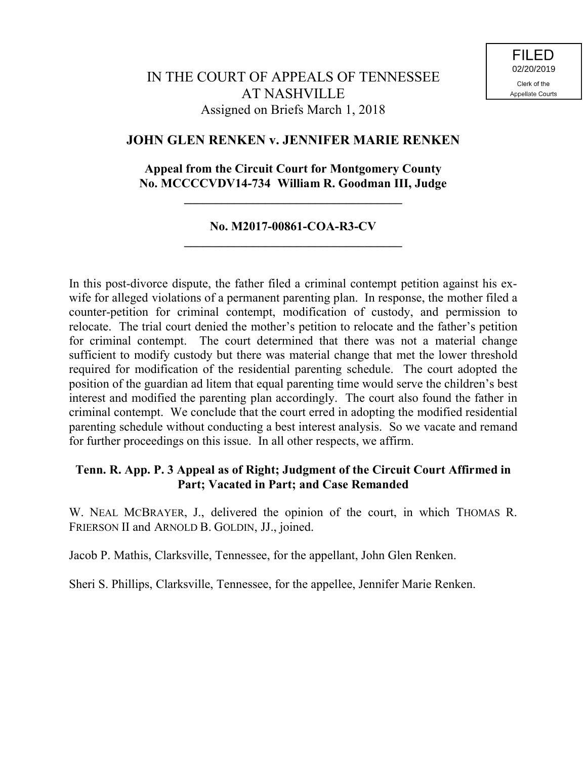# **JOHN GLEN RENKEN v. JENNIFER MARIE RENKEN**

# **Appeal from the Circuit Court for Montgomery County No. MCCCCVDV14-734 William R. Goodman III, Judge**

**\_\_\_\_\_\_\_\_\_\_\_\_\_\_\_\_\_\_\_\_\_\_\_\_\_\_\_\_\_\_\_\_\_\_\_**

## **No. M2017-00861-COA-R3-CV \_\_\_\_\_\_\_\_\_\_\_\_\_\_\_\_\_\_\_\_\_\_\_\_\_\_\_\_\_\_\_\_\_\_\_**

In this post-divorce dispute, the father filed a criminal contempt petition against his exwife for alleged violations of a permanent parenting plan. In response, the mother filed a counter-petition for criminal contempt, modification of custody, and permission to relocate. The trial court denied the mother's petition to relocate and the father's petition for criminal contempt. The court determined that there was not a material change sufficient to modify custody but there was material change that met the lower threshold required for modification of the residential parenting schedule. The court adopted the position of the guardian ad litem that equal parenting time would serve the children's best interest and modified the parenting plan accordingly. The court also found the father in criminal contempt. We conclude that the court erred in adopting the modified residential parenting schedule without conducting a best interest analysis. So we vacate and remand for further proceedings on this issue. In all other respects, we affirm.

# **Tenn. R. App. P. 3 Appeal as of Right; Judgment of the Circuit Court Affirmed in Part; Vacated in Part; and Case Remanded**

W. NEAL MCBRAYER, J., delivered the opinion of the court, in which THOMAS R. FRIERSON II and ARNOLD B. GOLDIN, JJ., joined.

Jacob P. Mathis, Clarksville, Tennessee, for the appellant, John Glen Renken.

Sheri S. Phillips, Clarksville, Tennessee, for the appellee, Jennifer Marie Renken.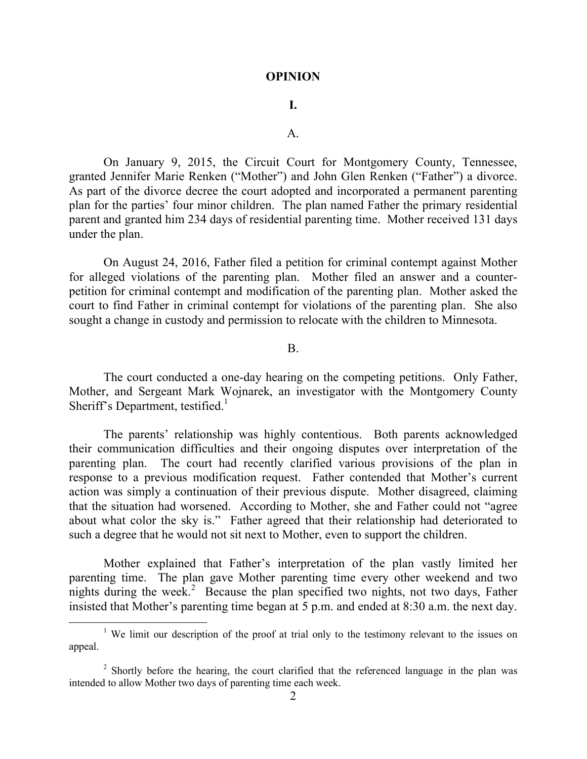#### **OPINION**

## **I.**

### A.

On January 9, 2015, the Circuit Court for Montgomery County, Tennessee, granted Jennifer Marie Renken ("Mother") and John Glen Renken ("Father") a divorce. As part of the divorce decree the court adopted and incorporated a permanent parenting plan for the parties' four minor children. The plan named Father the primary residential parent and granted him 234 days of residential parenting time. Mother received 131 days under the plan.

On August 24, 2016, Father filed a petition for criminal contempt against Mother for alleged violations of the parenting plan. Mother filed an answer and a counterpetition for criminal contempt and modification of the parenting plan. Mother asked the court to find Father in criminal contempt for violations of the parenting plan. She also sought a change in custody and permission to relocate with the children to Minnesota.

#### B.

The court conducted a one-day hearing on the competing petitions. Only Father, Mother, and Sergeant Mark Wojnarek, an investigator with the Montgomery County Sheriff's Department, testified.<sup>1</sup>

The parents' relationship was highly contentious. Both parents acknowledged their communication difficulties and their ongoing disputes over interpretation of the parenting plan. The court had recently clarified various provisions of the plan in response to a previous modification request. Father contended that Mother's current action was simply a continuation of their previous dispute. Mother disagreed, claiming that the situation had worsened. According to Mother, she and Father could not "agree about what color the sky is." Father agreed that their relationship had deteriorated to such a degree that he would not sit next to Mother, even to support the children.

Mother explained that Father's interpretation of the plan vastly limited her parenting time. The plan gave Mother parenting time every other weekend and two nights during the week.<sup>2</sup> Because the plan specified two nights, not two days, Father insisted that Mother's parenting time began at 5 p.m. and ended at 8:30 a.m. the next day.

 $\overline{a}$ 

<sup>&</sup>lt;sup>1</sup> We limit our description of the proof at trial only to the testimony relevant to the issues on appeal.

 $2$  Shortly before the hearing, the court clarified that the referenced language in the plan was intended to allow Mother two days of parenting time each week.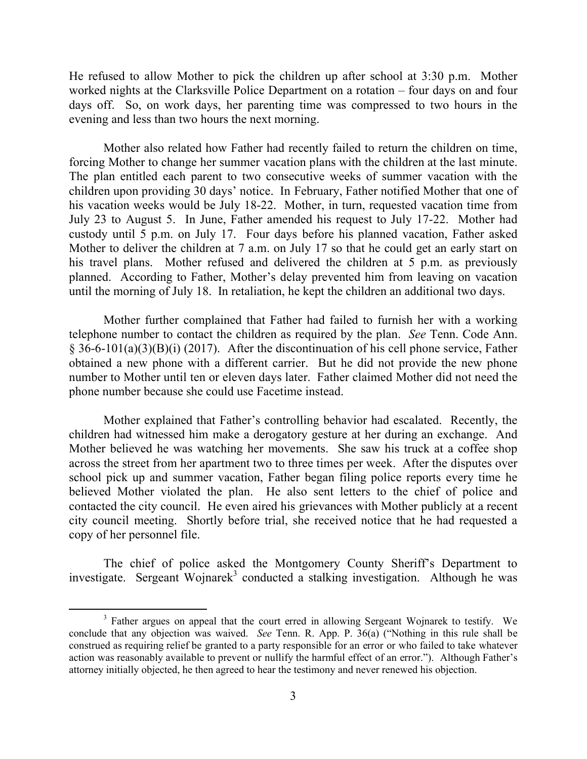He refused to allow Mother to pick the children up after school at 3:30 p.m. Mother worked nights at the Clarksville Police Department on a rotation – four days on and four days off. So, on work days, her parenting time was compressed to two hours in the evening and less than two hours the next morning.

Mother also related how Father had recently failed to return the children on time, forcing Mother to change her summer vacation plans with the children at the last minute. The plan entitled each parent to two consecutive weeks of summer vacation with the children upon providing 30 days' notice. In February, Father notified Mother that one of his vacation weeks would be July 18-22. Mother, in turn, requested vacation time from July 23 to August 5. In June, Father amended his request to July 17-22. Mother had custody until 5 p.m. on July 17. Four days before his planned vacation, Father asked Mother to deliver the children at 7 a.m. on July 17 so that he could get an early start on his travel plans. Mother refused and delivered the children at 5 p.m. as previously planned. According to Father, Mother's delay prevented him from leaving on vacation until the morning of July 18. In retaliation, he kept the children an additional two days.

Mother further complained that Father had failed to furnish her with a working telephone number to contact the children as required by the plan. *See* Tenn. Code Ann. § 36-6-101(a)(3)(B)(i) (2017). After the discontinuation of his cell phone service, Father obtained a new phone with a different carrier. But he did not provide the new phone number to Mother until ten or eleven days later. Father claimed Mother did not need the phone number because she could use Facetime instead.

Mother explained that Father's controlling behavior had escalated. Recently, the children had witnessed him make a derogatory gesture at her during an exchange. And Mother believed he was watching her movements. She saw his truck at a coffee shop across the street from her apartment two to three times per week. After the disputes over school pick up and summer vacation, Father began filing police reports every time he believed Mother violated the plan. He also sent letters to the chief of police and contacted the city council. He even aired his grievances with Mother publicly at a recent city council meeting. Shortly before trial, she received notice that he had requested a copy of her personnel file.

The chief of police asked the Montgomery County Sheriff's Department to investigate. Sergeant Wojnarek<sup>3</sup> conducted a stalking investigation. Although he was

 $\overline{a}$ 

<sup>&</sup>lt;sup>3</sup> Father argues on appeal that the court erred in allowing Sergeant Wojnarek to testify. We conclude that any objection was waived. *See* Tenn. R. App. P. 36(a) ("Nothing in this rule shall be construed as requiring relief be granted to a party responsible for an error or who failed to take whatever action was reasonably available to prevent or nullify the harmful effect of an error."). Although Father's attorney initially objected, he then agreed to hear the testimony and never renewed his objection.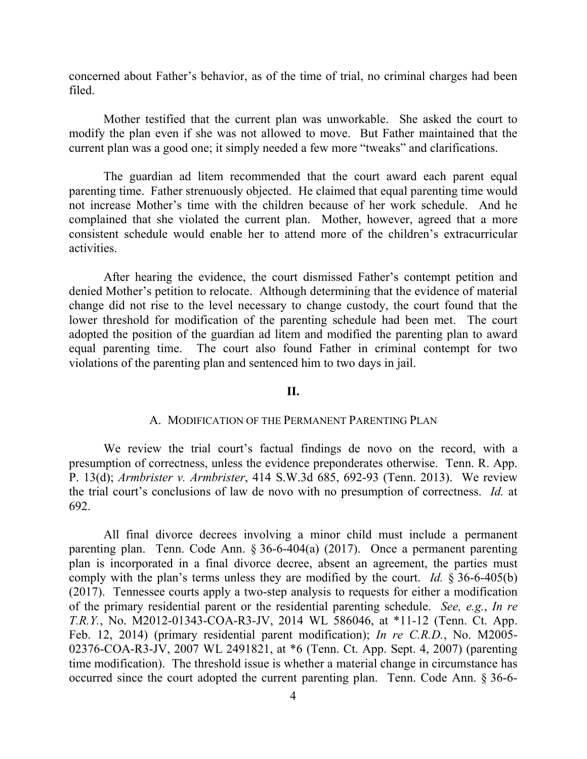concerned about Father's behavior, as of the time of trial, no criminal charges had been filed.

Mother testified that the current plan was unworkable. She asked the court to modify the plan even if she was not allowed to move. But Father maintained that the current plan was a good one; it simply needed a few more "tweaks" and clarifications.

The guardian ad litem recommended that the court award each parent equal parenting time. Father strenuously objected. He claimed that equal parenting time would not increase Mother's time with the children because of her work schedule. And he complained that she violated the current plan. Mother, however, agreed that a more consistent schedule would enable her to attend more of the children's extracurricular activities.

After hearing the evidence, the court dismissed Father's contempt petition and denied Mother's petition to relocate. Although determining that the evidence of material change did not rise to the level necessary to change custody, the court found that the lower threshold for modification of the parenting schedule had been met. The court adopted the position of the guardian ad litem and modified the parenting plan to award equal parenting time. The court also found Father in criminal contempt for two violations of the parenting plan and sentenced him to two days in jail.

### **II.**

#### A. MODIFICATION OF THE PERMANENT PARENTING PLAN

We review the trial court's factual findings de novo on the record, with a presumption of correctness, unless the evidence preponderates otherwise. Tenn. R. App. P. 13(d); *Armbrister v. Armbrister*, 414 S.W.3d 685, 692-93 (Tenn. 2013). We review the trial court's conclusions of law de novo with no presumption of correctness. *Id.* at 692.

All final divorce decrees involving a minor child must include a permanent parenting plan. Tenn. Code Ann. § 36-6-404(a) (2017). Once a permanent parenting plan is incorporated in a final divorce decree, absent an agreement, the parties must comply with the plan's terms unless they are modified by the court. *Id.* § 36-6-405(b) (2017). Tennessee courts apply a two-step analysis to requests for either a modification of the primary residential parent or the residential parenting schedule. *See, e.g.*, *In re T.R.Y.*, No. M2012-01343-COA-R3-JV, 2014 WL 586046, at \*11-12 (Tenn. Ct. App. Feb. 12, 2014) (primary residential parent modification); *In re C.R.D.*, No. M2005- 02376-COA-R3-JV, 2007 WL 2491821, at \*6 (Tenn. Ct. App. Sept. 4, 2007) (parenting time modification). The threshold issue is whether a material change in circumstance has occurred since the court adopted the current parenting plan. Tenn. Code Ann. § 36-6-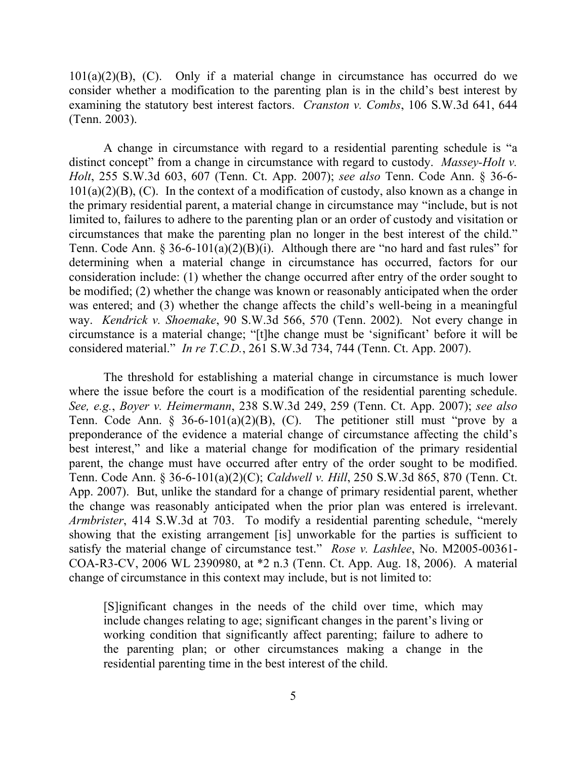$101(a)(2)(B)$ , (C). Only if a material change in circumstance has occurred do we consider whether a modification to the parenting plan is in the child's best interest by examining the statutory best interest factors. *Cranston v. Combs*, 106 S.W.3d 641, 644 (Tenn. 2003).

A change in circumstance with regard to a residential parenting schedule is "a distinct concept" from a change in circumstance with regard to custody. *Massey-Holt v. Holt*, 255 S.W.3d 603, 607 (Tenn. Ct. App. 2007); *see also* Tenn. Code Ann. § 36-6-  $101(a)(2)(B)$ , (C). In the context of a modification of custody, also known as a change in the primary residential parent, a material change in circumstance may "include, but is not limited to, failures to adhere to the parenting plan or an order of custody and visitation or circumstances that make the parenting plan no longer in the best interest of the child." Tenn. Code Ann. § 36-6-101(a)(2)(B)(i). Although there are "no hard and fast rules" for determining when a material change in circumstance has occurred, factors for our consideration include: (1) whether the change occurred after entry of the order sought to be modified; (2) whether the change was known or reasonably anticipated when the order was entered; and (3) whether the change affects the child's well-being in a meaningful way. *Kendrick v. Shoemake*, 90 S.W.3d 566, 570 (Tenn. 2002). Not every change in circumstance is a material change; "[t]he change must be 'significant' before it will be considered material." *In re T.C.D.*, 261 S.W.3d 734, 744 (Tenn. Ct. App. 2007).

The threshold for establishing a material change in circumstance is much lower where the issue before the court is a modification of the residential parenting schedule. *See, e.g.*, *Boyer v. Heimermann*, 238 S.W.3d 249, 259 (Tenn. Ct. App. 2007); *see also* Tenn. Code Ann. § 36-6-101(a)(2)(B), (C). The petitioner still must "prove by a preponderance of the evidence a material change of circumstance affecting the child's best interest," and like a material change for modification of the primary residential parent, the change must have occurred after entry of the order sought to be modified. Tenn. Code Ann. § 36-6-101(a)(2)(C); *Caldwell v. Hill*, 250 S.W.3d 865, 870 (Tenn. Ct. App. 2007). But, unlike the standard for a change of primary residential parent, whether the change was reasonably anticipated when the prior plan was entered is irrelevant. *Armbrister*, 414 S.W.3d at 703. To modify a residential parenting schedule, "merely showing that the existing arrangement [is] unworkable for the parties is sufficient to satisfy the material change of circumstance test." *Rose v. Lashlee*, No. M2005-00361- COA-R3-CV, 2006 WL 2390980, at \*2 n.3 (Tenn. Ct. App. Aug. 18, 2006). A material change of circumstance in this context may include, but is not limited to:

[S]ignificant changes in the needs of the child over time, which may include changes relating to age; significant changes in the parent's living or working condition that significantly affect parenting; failure to adhere to the parenting plan; or other circumstances making a change in the residential parenting time in the best interest of the child.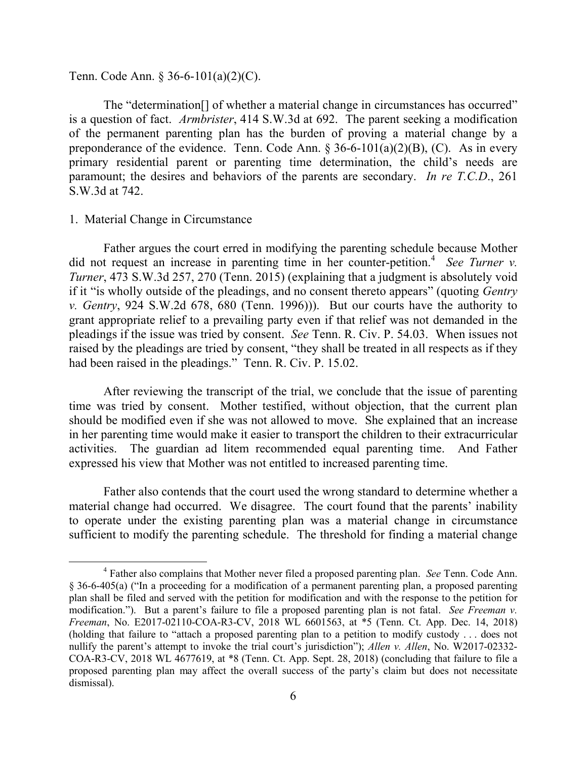Tenn. Code Ann. § 36-6-101(a)(2)(C).

The "determination[] of whether a material change in circumstances has occurred" is a question of fact. *Armbrister*, 414 S.W.3d at 692. The parent seeking a modification of the permanent parenting plan has the burden of proving a material change by a preponderance of the evidence. Tenn. Code Ann.  $\S 36-6-101(a)(2)(B)$ , (C). As in every primary residential parent or parenting time determination, the child's needs are paramount; the desires and behaviors of the parents are secondary. *In re T.C.D*., 261 S.W.3d at 742.

### 1. Material Change in Circumstance

 $\overline{a}$ 

Father argues the court erred in modifying the parenting schedule because Mother did not request an increase in parenting time in her counter-petition.<sup>4</sup> See Turner v. *Turner*, 473 S.W.3d 257, 270 (Tenn. 2015) (explaining that a judgment is absolutely void if it "is wholly outside of the pleadings, and no consent thereto appears" (quoting *Gentry v. Gentry*, 924 S.W.2d 678, 680 (Tenn. 1996))). But our courts have the authority to grant appropriate relief to a prevailing party even if that relief was not demanded in the pleadings if the issue was tried by consent. *See* Tenn. R. Civ. P. 54.03. When issues not raised by the pleadings are tried by consent, "they shall be treated in all respects as if they had been raised in the pleadings." Tenn. R. Civ. P. 15.02.

After reviewing the transcript of the trial, we conclude that the issue of parenting time was tried by consent. Mother testified, without objection, that the current plan should be modified even if she was not allowed to move. She explained that an increase in her parenting time would make it easier to transport the children to their extracurricular activities. The guardian ad litem recommended equal parenting time. And Father expressed his view that Mother was not entitled to increased parenting time.

Father also contends that the court used the wrong standard to determine whether a material change had occurred. We disagree. The court found that the parents' inability to operate under the existing parenting plan was a material change in circumstance sufficient to modify the parenting schedule. The threshold for finding a material change

<sup>4</sup> Father also complains that Mother never filed a proposed parenting plan. *See* Tenn. Code Ann. § 36-6-405(a) ("In a proceeding for a modification of a permanent parenting plan, a proposed parenting plan shall be filed and served with the petition for modification and with the response to the petition for modification."). But a parent's failure to file a proposed parenting plan is not fatal. *See Freeman v. Freeman*, No. E2017-02110-COA-R3-CV, 2018 WL 6601563, at \*5 (Tenn. Ct. App. Dec. 14, 2018) (holding that failure to "attach a proposed parenting plan to a petition to modify custody . . . does not nullify the parent's attempt to invoke the trial court's jurisdiction"); *Allen v. Allen*, No. W2017-02332- COA-R3-CV, 2018 WL 4677619, at \*8 (Tenn. Ct. App. Sept. 28, 2018) (concluding that failure to file a proposed parenting plan may affect the overall success of the party's claim but does not necessitate dismissal).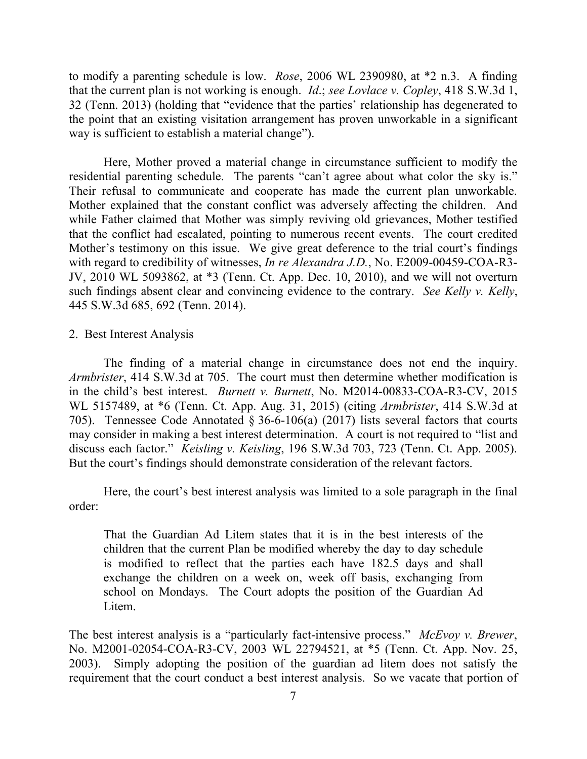to modify a parenting schedule is low. *Rose*, 2006 WL 2390980, at \*2 n.3. A finding that the current plan is not working is enough. *Id*.; *see Lovlace v. Copley*, 418 S.W.3d 1, 32 (Tenn. 2013) (holding that "evidence that the parties' relationship has degenerated to the point that an existing visitation arrangement has proven unworkable in a significant way is sufficient to establish a material change").

Here, Mother proved a material change in circumstance sufficient to modify the residential parenting schedule. The parents "can't agree about what color the sky is." Their refusal to communicate and cooperate has made the current plan unworkable. Mother explained that the constant conflict was adversely affecting the children. And while Father claimed that Mother was simply reviving old grievances, Mother testified that the conflict had escalated, pointing to numerous recent events. The court credited Mother's testimony on this issue. We give great deference to the trial court's findings with regard to credibility of witnesses, *In re Alexandra J.D.*, No. E2009-00459-COA-R3- JV, 2010 WL 5093862, at \*3 (Tenn. Ct. App. Dec. 10, 2010), and we will not overturn such findings absent clear and convincing evidence to the contrary. *See Kelly v. Kelly*, 445 S.W.3d 685, 692 (Tenn. 2014).

#### 2. Best Interest Analysis

The finding of a material change in circumstance does not end the inquiry. *Armbrister*, 414 S.W.3d at 705. The court must then determine whether modification is in the child's best interest. *Burnett v. Burnett*, No. M2014-00833-COA-R3-CV, 2015 WL 5157489, at \*6 (Tenn. Ct. App. Aug. 31, 2015) (citing *Armbrister*, 414 S.W.3d at 705). Tennessee Code Annotated § 36-6-106(a) (2017) lists several factors that courts may consider in making a best interest determination. A court is not required to "list and discuss each factor." *Keisling v. Keisling*, 196 S.W.3d 703, 723 (Tenn. Ct. App. 2005). But the court's findings should demonstrate consideration of the relevant factors.

Here, the court's best interest analysis was limited to a sole paragraph in the final order:

That the Guardian Ad Litem states that it is in the best interests of the children that the current Plan be modified whereby the day to day schedule is modified to reflect that the parties each have 182.5 days and shall exchange the children on a week on, week off basis, exchanging from school on Mondays. The Court adopts the position of the Guardian Ad Litem.

The best interest analysis is a "particularly fact-intensive process." *McEvoy v. Brewer*, No. M2001-02054-COA-R3-CV, 2003 WL 22794521, at \*5 (Tenn. Ct. App. Nov. 25, 2003). Simply adopting the position of the guardian ad litem does not satisfy the requirement that the court conduct a best interest analysis. So we vacate that portion of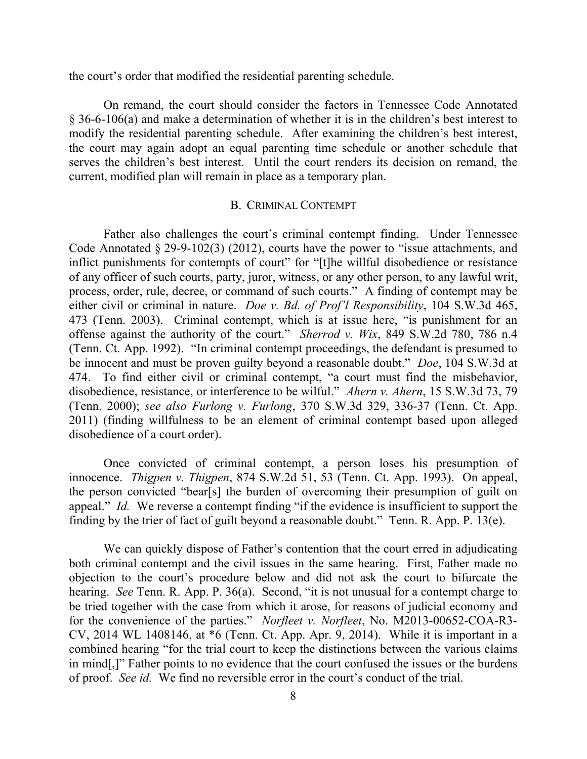the court's order that modified the residential parenting schedule.

On remand, the court should consider the factors in Tennessee Code Annotated § 36-6-106(a) and make a determination of whether it is in the children's best interest to modify the residential parenting schedule. After examining the children's best interest, the court may again adopt an equal parenting time schedule or another schedule that serves the children's best interest. Until the court renders its decision on remand, the current, modified plan will remain in place as a temporary plan.

### B. CRIMINAL CONTEMPT

Father also challenges the court's criminal contempt finding. Under Tennessee Code Annotated § 29-9-102(3) (2012), courts have the power to "issue attachments, and inflict punishments for contempts of court" for "[t]he willful disobedience or resistance of any officer of such courts, party, juror, witness, or any other person, to any lawful writ, process, order, rule, decree, or command of such courts." A finding of contempt may be either civil or criminal in nature. *Doe v. Bd. of Prof'l Responsibility*, 104 S.W.3d 465, 473 (Tenn. 2003). Criminal contempt, which is at issue here, "is punishment for an offense against the authority of the court." *Sherrod v. Wix*, 849 S.W.2d 780, 786 n.4 (Tenn. Ct. App. 1992). "In criminal contempt proceedings, the defendant is presumed to be innocent and must be proven guilty beyond a reasonable doubt." *Doe*, 104 S.W.3d at 474. To find either civil or criminal contempt, "a court must find the misbehavior, disobedience, resistance, or interference to be wilful." *Ahern v. Ahern*, 15 S.W.3d 73, 79 (Tenn. 2000); *see also Furlong v. Furlong*, 370 S.W.3d 329, 336-37 (Tenn. Ct. App. 2011) (finding willfulness to be an element of criminal contempt based upon alleged disobedience of a court order).

Once convicted of criminal contempt, a person loses his presumption of innocence. *Thigpen v. Thigpen*, 874 S.W.2d 51, 53 (Tenn. Ct. App. 1993). On appeal, the person convicted "bear[s] the burden of overcoming their presumption of guilt on appeal." *Id.* We reverse a contempt finding "if the evidence is insufficient to support the finding by the trier of fact of guilt beyond a reasonable doubt." Tenn. R. App. P. 13(e).

We can quickly dispose of Father's contention that the court erred in adjudicating both criminal contempt and the civil issues in the same hearing. First, Father made no objection to the court's procedure below and did not ask the court to bifurcate the hearing. *See* Tenn. R. App. P. 36(a). Second, "it is not unusual for a contempt charge to be tried together with the case from which it arose, for reasons of judicial economy and for the convenience of the parties." *Norfleet v. Norfleet*, No. M2013-00652-COA-R3- CV, 2014 WL 1408146, at \*6 (Tenn. Ct. App. Apr. 9, 2014). While it is important in a combined hearing "for the trial court to keep the distinctions between the various claims in mind[,]" Father points to no evidence that the court confused the issues or the burdens of proof. *See id.* We find no reversible error in the court's conduct of the trial.